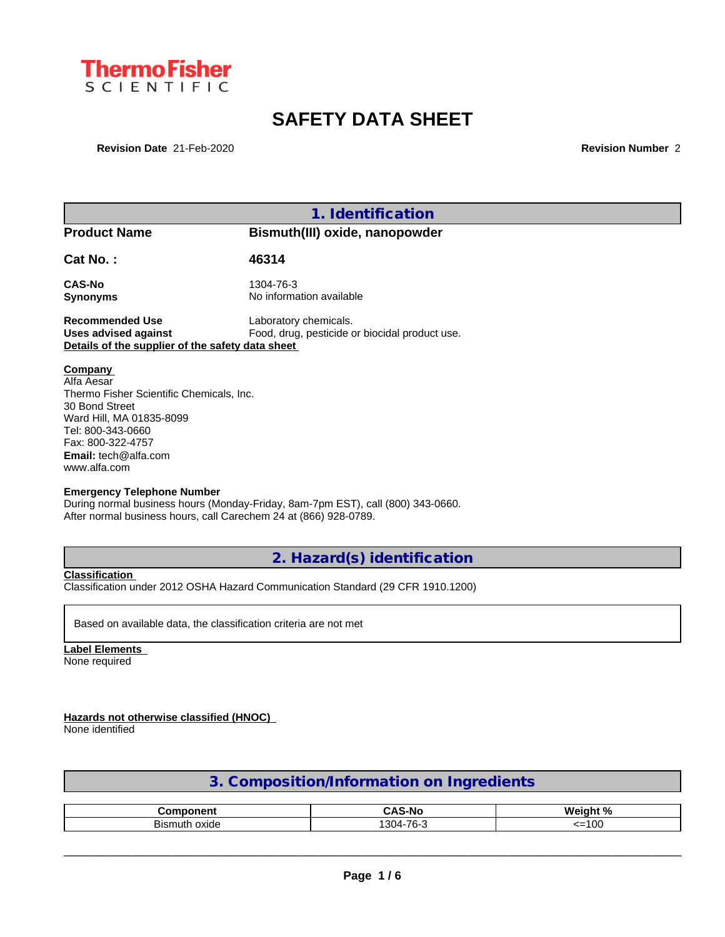

# **SAFETY DATA SHEET**

**Revision Date** 21-Feb-2020 **Revision Number** 2

| 1. Identification                                                                                                                                                                                                                                                                                                                                                                                             |  |  |  |  |  |
|---------------------------------------------------------------------------------------------------------------------------------------------------------------------------------------------------------------------------------------------------------------------------------------------------------------------------------------------------------------------------------------------------------------|--|--|--|--|--|
| <b>Product Name</b><br>Bismuth(III) oxide, nanopowder                                                                                                                                                                                                                                                                                                                                                         |  |  |  |  |  |
|                                                                                                                                                                                                                                                                                                                                                                                                               |  |  |  |  |  |
|                                                                                                                                                                                                                                                                                                                                                                                                               |  |  |  |  |  |
|                                                                                                                                                                                                                                                                                                                                                                                                               |  |  |  |  |  |
| Laboratory chemicals.<br><b>Recommended Use</b><br>Food, drug, pesticide or biocidal product use.<br><b>Uses advised against</b><br>Details of the supplier of the safety data sheet                                                                                                                                                                                                                          |  |  |  |  |  |
| <b>Company</b><br>Alfa Aesar<br>Thermo Fisher Scientific Chemicals, Inc.<br>30 Bond Street<br>Ward Hill, MA 01835-8099<br>Tel: 800-343-0660<br>Fax: 800-322-4757<br><b>Email:</b> $tech@alfa.com$<br>www.alfa.com<br><b>Emergency Telephone Number</b><br>During normal business hours (Monday-Friday, 8am-7pm EST), call (800) 343-0660.<br>After normal business hours, call Carechem 24 at (866) 928-0789. |  |  |  |  |  |
|                                                                                                                                                                                                                                                                                                                                                                                                               |  |  |  |  |  |

**2. Hazard(s) identification**

**Classification** Classification under 2012 OSHA Hazard Communication Standard (29 CFR 1910.1200)

Based on available data, the classification criteria are not met

**Label Elements** None required

**Hazards not otherwise classified (HNOC)**

None identified

|  | 3. Composition/Information on Ingredients |  |
|--|-------------------------------------------|--|
|  |                                           |  |

| מחר                | $\bullet$<br>S-No     | ∟ ∩/<br>Wein                                         |
|--------------------|-----------------------|------------------------------------------------------|
| <br>oxide<br>smuti | 7C<br>$304 -$<br>'יס. | $\sim$<br>$\alpha$ .<br>$\sim$ $\sim$<br>vu<br>. – 1 |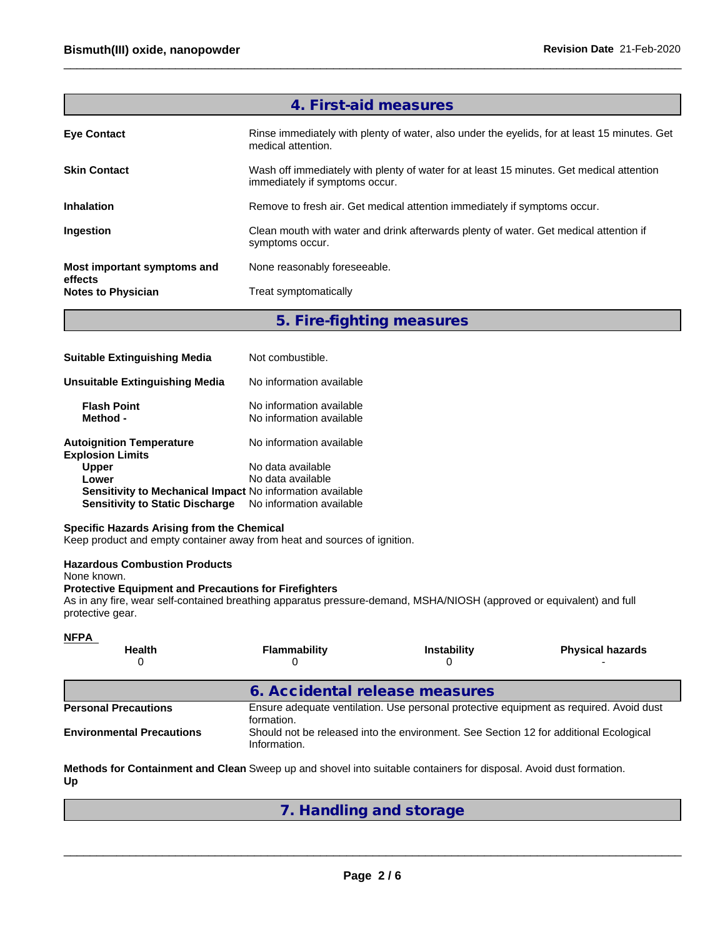|                                      | 4. First-aid measures                                                                                                      |
|--------------------------------------|----------------------------------------------------------------------------------------------------------------------------|
| <b>Eve Contact</b>                   | Rinse immediately with plenty of water, also under the eyelids, for at least 15 minutes. Get<br>medical attention.         |
| <b>Skin Contact</b>                  | Wash off immediately with plenty of water for at least 15 minutes. Get medical attention<br>immediately if symptoms occur. |
| <b>Inhalation</b>                    | Remove to fresh air. Get medical attention immediately if symptoms occur.                                                  |
| Ingestion                            | Clean mouth with water and drink afterwards plenty of water. Get medical attention if<br>symptoms occur.                   |
| Most important symptoms and          | None reasonably foreseeable.                                                                                               |
| effects<br><b>Notes to Physician</b> | Treat symptomatically                                                                                                      |
|                                      |                                                                                                                            |

**5. Fire-fighting measures**

| <b>Suitable Extinguishing Media</b>                        | Not combustible.                                     |
|------------------------------------------------------------|------------------------------------------------------|
| Unsuitable Extinguishing Media                             | No information available                             |
| <b>Flash Point</b><br>Method -                             | No information available<br>No information available |
| <b>Autoignition Temperature</b><br><b>Explosion Limits</b> | No information available                             |
| <b>Upper</b>                                               | No data available                                    |
| Lower                                                      | No data available                                    |
| Sensitivity to Mechanical Impact No information available  |                                                      |
| <b>Sensitivity to Static Discharge</b>                     | No information available                             |

### **Specific Hazards Arising from the Chemical**

Keep product and empty container away from heat and sources of ignition.

#### **Hazardous Combustion Products**

None known.

#### **Protective Equipment and Precautions for Firefighters**

As in any fire, wear self-contained breathing apparatus pressure-demand, MSHA/NIOSH (approved or equivalent) and full protective gear.

| <b>NFPA</b>                      |                                                                                                       |                    |                         |  |  |
|----------------------------------|-------------------------------------------------------------------------------------------------------|--------------------|-------------------------|--|--|
| <b>Health</b><br>0               | <b>Flammability</b>                                                                                   | <b>Instability</b> | <b>Physical hazards</b> |  |  |
|                                  | 6. Accidental release measures                                                                        |                    |                         |  |  |
| <b>Personal Precautions</b>      | Ensure adequate ventilation. Use personal protective equipment as required. Avoid dust<br>formation.  |                    |                         |  |  |
| <b>Environmental Precautions</b> | Should not be released into the environment. See Section 12 for additional Ecological<br>Information. |                    |                         |  |  |

**Methods for Containment and Clean** Sweep up and shovel into suitable containers for disposal. Avoid dust formation. **Up**

## **7. Handling and storage**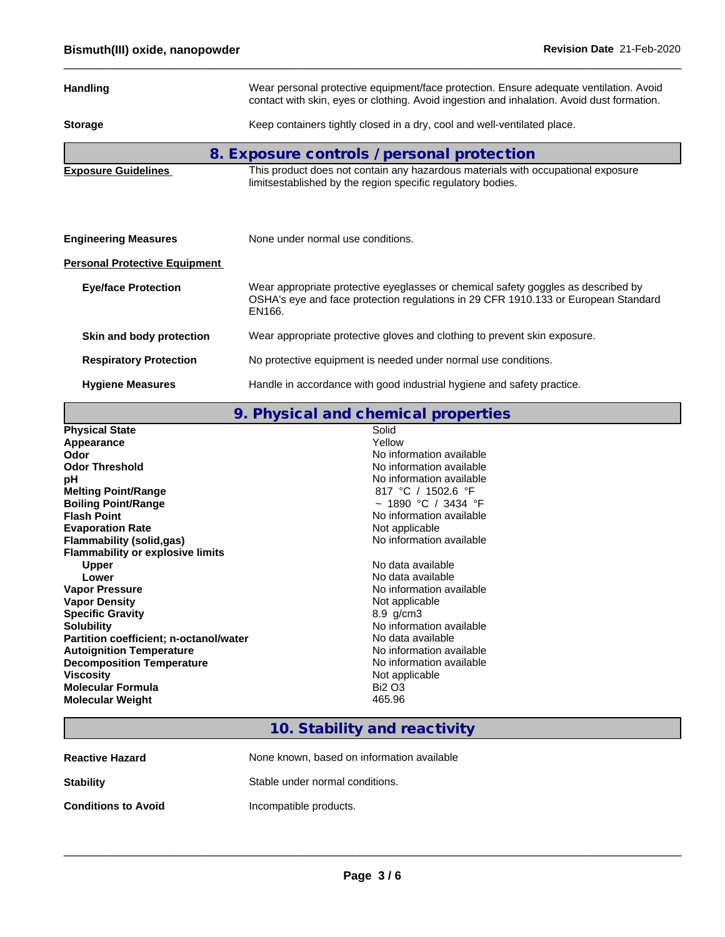| <b>Handling</b>                      | Wear personal protective equipment/face protection. Ensure adequate ventilation. Avoid<br>contact with skin, eyes or clothing. Avoid ingestion and inhalation. Avoid dust formation. |  |  |  |
|--------------------------------------|--------------------------------------------------------------------------------------------------------------------------------------------------------------------------------------|--|--|--|
| <b>Storage</b>                       | Keep containers tightly closed in a dry, cool and well-ventilated place.                                                                                                             |  |  |  |
|                                      | 8. Exposure controls / personal protection                                                                                                                                           |  |  |  |
| <b>Exposure Guidelines</b>           | This product does not contain any hazardous materials with occupational exposure<br>limitsestablished by the region specific regulatory bodies.                                      |  |  |  |
|                                      |                                                                                                                                                                                      |  |  |  |
| <b>Engineering Measures</b>          | None under normal use conditions.                                                                                                                                                    |  |  |  |
| <b>Personal Protective Equipment</b> |                                                                                                                                                                                      |  |  |  |
| <b>Eye/face Protection</b>           | Wear appropriate protective eyeglasses or chemical safety goggles as described by<br>OSHA's eye and face protection regulations in 29 CFR 1910.133 or European Standard<br>EN166.    |  |  |  |
| Skin and body protection             | Wear appropriate protective gloves and clothing to prevent skin exposure.                                                                                                            |  |  |  |
| <b>Respiratory Protection</b>        | No protective equipment is needed under normal use conditions.                                                                                                                       |  |  |  |
| <b>Hygiene Measures</b>              | Handle in accordance with good industrial hygiene and safety practice.                                                                                                               |  |  |  |

**9. Physical and chemical properties**

| <b>Physical State</b>                         | Solid                    |
|-----------------------------------------------|--------------------------|
| Appearance                                    | Yellow                   |
| Odor                                          | No information available |
| <b>Odor Threshold</b>                         | No information available |
| рH                                            | No information available |
| <b>Melting Point/Range</b>                    | 817 °C / 1502.6 °F       |
| <b>Boiling Point/Range</b>                    | ~ 1890 °C / 3434 °F      |
| <b>Flash Point</b>                            | No information available |
| <b>Evaporation Rate</b>                       | Not applicable           |
| <b>Flammability (solid,gas)</b>               | No information available |
| <b>Flammability or explosive limits</b>       |                          |
| <b>Upper</b>                                  | No data available        |
| Lower                                         | No data available        |
| <b>Vapor Pressure</b>                         | No information available |
| <b>Vapor Density</b>                          | Not applicable           |
| <b>Specific Gravity</b>                       | $8.9$ g/cm $3$           |
| <b>Solubility</b>                             | No information available |
| <b>Partition coefficient; n-octanol/water</b> | No data available        |
| <b>Autoignition Temperature</b>               | No information available |
| <b>Decomposition Temperature</b>              | No information available |
| <b>Viscosity</b>                              | Not applicable           |
| <b>Molecular Formula</b>                      | <b>Bi2 O3</b>            |
| <b>Molecular Weight</b>                       | 465.96                   |
|                                               |                          |

## **10. Stability and reactivity**

| <b>Reactive Hazard</b>     | None known, based on information available |
|----------------------------|--------------------------------------------|
| <b>Stability</b>           | Stable under normal conditions.            |
| <b>Conditions to Avoid</b> | Incompatible products.                     |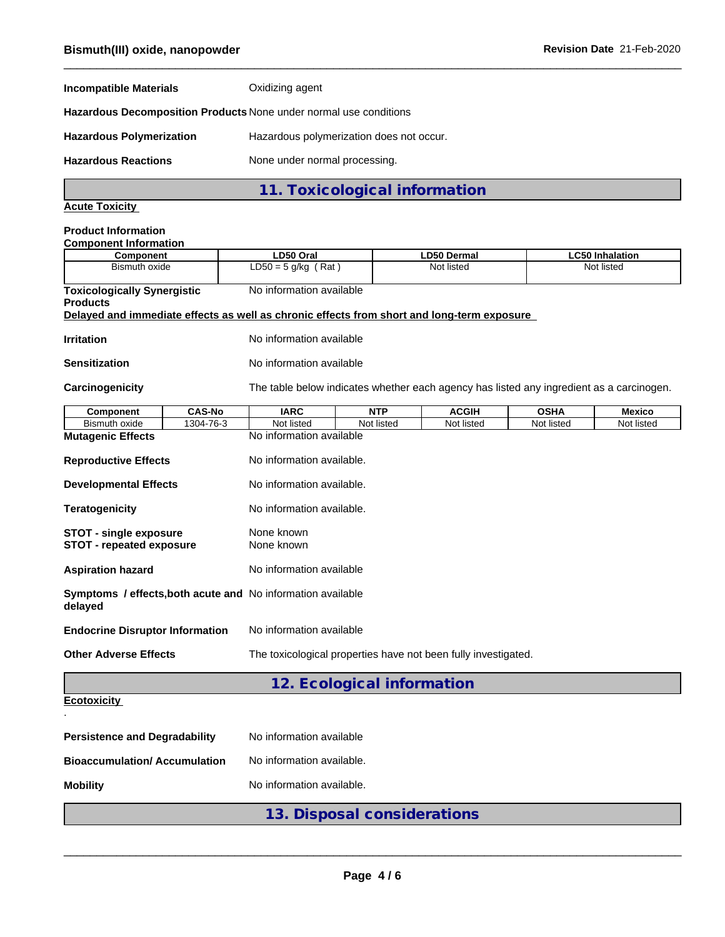| <b>Incompatible Materials</b>                                                              |                                                                    | Oxidizing agent                                                |                           |            |                                                                                          |             |                        |
|--------------------------------------------------------------------------------------------|--------------------------------------------------------------------|----------------------------------------------------------------|---------------------------|------------|------------------------------------------------------------------------------------------|-------------|------------------------|
| Hazardous Decomposition Products None under normal use conditions                          |                                                                    |                                                                |                           |            |                                                                                          |             |                        |
| <b>Hazardous Polymerization</b>                                                            |                                                                    | Hazardous polymerization does not occur.                       |                           |            |                                                                                          |             |                        |
| <b>Hazardous Reactions</b>                                                                 |                                                                    | None under normal processing.                                  |                           |            |                                                                                          |             |                        |
|                                                                                            |                                                                    | 11. Toxicological information                                  |                           |            |                                                                                          |             |                        |
| <b>Acute Toxicity</b>                                                                      |                                                                    |                                                                |                           |            |                                                                                          |             |                        |
| <b>Product Information</b><br><b>Component Information</b>                                 |                                                                    |                                                                |                           |            |                                                                                          |             |                        |
| Component                                                                                  |                                                                    | LD50 Oral                                                      |                           |            | <b>LD50 Dermal</b>                                                                       |             | <b>LC50 Inhalation</b> |
| <b>Bismuth oxide</b>                                                                       |                                                                    | $LD50 = 5$ g/kg (Rat)                                          |                           |            | Not listed                                                                               |             | Not listed             |
| <b>Toxicologically Synergistic</b><br><b>Products</b>                                      |                                                                    | No information available                                       |                           |            |                                                                                          |             |                        |
| Delayed and immediate effects as well as chronic effects from short and long-term exposure |                                                                    |                                                                |                           |            |                                                                                          |             |                        |
| <b>Irritation</b>                                                                          |                                                                    | No information available                                       |                           |            |                                                                                          |             |                        |
| <b>Sensitization</b>                                                                       |                                                                    | No information available                                       |                           |            |                                                                                          |             |                        |
| Carcinogenicity                                                                            |                                                                    |                                                                |                           |            | The table below indicates whether each agency has listed any ingredient as a carcinogen. |             |                        |
| <b>Component</b>                                                                           | <b>CAS-No</b>                                                      | <b>IARC</b>                                                    |                           | <b>NTP</b> | <b>ACGIH</b>                                                                             | <b>OSHA</b> | <b>Mexico</b>          |
| <b>Bismuth oxide</b>                                                                       | 1304-76-3                                                          | Not listed                                                     |                           | Not listed | Not listed                                                                               | Not listed  | Not listed             |
| <b>Mutagenic Effects</b>                                                                   |                                                                    | No information available                                       |                           |            |                                                                                          |             |                        |
| <b>Reproductive Effects</b>                                                                |                                                                    |                                                                | No information available. |            |                                                                                          |             |                        |
| <b>Developmental Effects</b>                                                               |                                                                    | No information available.                                      |                           |            |                                                                                          |             |                        |
| <b>Teratogenicity</b>                                                                      |                                                                    | No information available.                                      |                           |            |                                                                                          |             |                        |
| <b>STOT - single exposure</b>                                                              | None known                                                         |                                                                |                           |            |                                                                                          |             |                        |
| <b>STOT - repeated exposure</b><br>None known                                              |                                                                    |                                                                |                           |            |                                                                                          |             |                        |
| <b>Aspiration hazard</b>                                                                   |                                                                    | No information available                                       |                           |            |                                                                                          |             |                        |
| Symptoms / effects, both acute and No information available<br>delayed                     |                                                                    |                                                                |                           |            |                                                                                          |             |                        |
|                                                                                            | <b>Endocrine Disruptor Information</b><br>No information available |                                                                |                           |            |                                                                                          |             |                        |
| <b>Other Adverse Effects</b>                                                               |                                                                    | The toxicological properties have not been fully investigated. |                           |            |                                                                                          |             |                        |
|                                                                                            |                                                                    | 12. Ecological information                                     |                           |            |                                                                                          |             |                        |
|                                                                                            |                                                                    |                                                                |                           |            |                                                                                          |             |                        |

```
.
```

|  | 12 Ecological information |
|--|---------------------------|

```
Ecotoxicity
```

| <b>Bioaccumulation/Accumulation</b> | No information available. |
|-------------------------------------|---------------------------|
| <b>Mobility</b>                     | No information available. |

**13. Disposal considerations**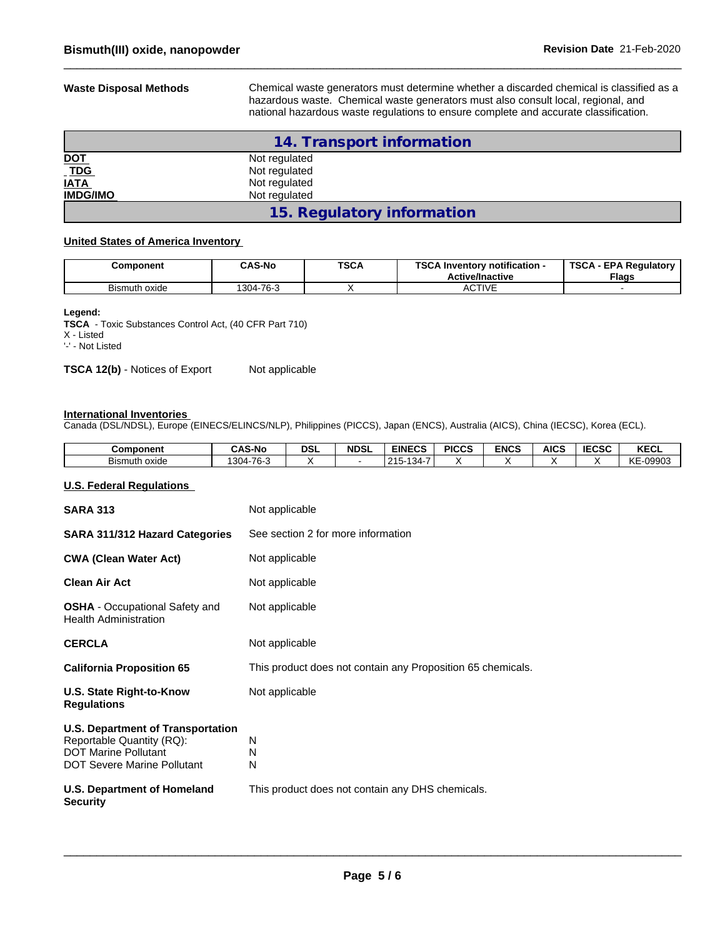**Waste Disposal Methods** Chemical waste generators must determine whether a discarded chemical is classified as a hazardous waste. Chemical waste generators must also consult local, regional, and national hazardous waste regulations to ensure complete and accurate classification.

|                                                                          | 14. Transport information  |  |  |  |
|--------------------------------------------------------------------------|----------------------------|--|--|--|
|                                                                          | Not regulated              |  |  |  |
| $\frac{\underline{\text{DOT}}}{\underline{\text{TDG}}}$<br>Not regulated |                            |  |  |  |
| <b>IATA</b><br>Not regulated                                             |                            |  |  |  |
| <b>IMDG/IMO</b>                                                          | Not regulated              |  |  |  |
|                                                                          | 15. Regulatory information |  |  |  |

#### **United States of America Inventory**

| Component     | <b>CAS-No</b> | <b>TSCA</b> | TOO A L<br>Inventory notification -<br>อบศ<br><b>Active/Inactive</b> | <b>TSCA</b><br><b>\ - EPA Reaulatorv</b><br>Flags |
|---------------|---------------|-------------|----------------------------------------------------------------------|---------------------------------------------------|
| Bismuth oxide | 1304-76-3     |             | <b>ACTIVE</b>                                                        |                                                   |

#### **Legend:**

**TSCA** - Toxic Substances Control Act, (40 CFR Part 710) X - Listed

'-' - Not Listed

**TSCA 12(b)** - Notices of Export Not applicable

#### **International Inventories**

Canada (DSL/NDSL), Europe (EINECS/ELINCS/NLP), Philippines (PICCS), Japan (ENCS), Australia (AICS), China (IECSC), Korea (ECL).

| Component               | <b>CAS-No</b>   | <b>DSL</b> | <b>NDSL</b> | <b>EINECS</b>                                          | <b>PICCS</b> | <b>ENCS</b> | <b>AICS</b> | <b>IECSC</b> | <b>KECL</b>                             |
|-------------------------|-----------------|------------|-------------|--------------------------------------------------------|--------------|-------------|-------------|--------------|-----------------------------------------|
| -<br>Bismuth<br>ı oxide | '304<br>$-76-3$ |            |             | .<br>$\overline{10}$<br>.015<br>- 34-<br>ں ہے .<br>. ت |              |             |             |              | cnaan.<br>$\sim$<br><b>NE</b><br>ิบฮฮบฮ |

#### **U.S. Federal Regulations**

| <b>SARA 313</b>                                                                                                                            | Not applicable                                              |
|--------------------------------------------------------------------------------------------------------------------------------------------|-------------------------------------------------------------|
| <b>SARA 311/312 Hazard Categories</b>                                                                                                      | See section 2 for more information                          |
| <b>CWA (Clean Water Act)</b>                                                                                                               | Not applicable                                              |
| <b>Clean Air Act</b>                                                                                                                       | Not applicable                                              |
| <b>OSHA</b> - Occupational Safety and<br><b>Health Administration</b>                                                                      | Not applicable                                              |
| <b>CERCLA</b>                                                                                                                              | Not applicable                                              |
| <b>California Proposition 65</b>                                                                                                           | This product does not contain any Proposition 65 chemicals. |
| U.S. State Right-to-Know<br><b>Regulations</b>                                                                                             | Not applicable                                              |
| <b>U.S. Department of Transportation</b><br>Reportable Quantity (RQ):<br><b>DOT Marine Pollutant</b><br><b>DOT Severe Marine Pollutant</b> | N<br>N<br>N                                                 |
| U.S. Department of Homeland<br><b>Security</b>                                                                                             | This product does not contain any DHS chemicals.            |